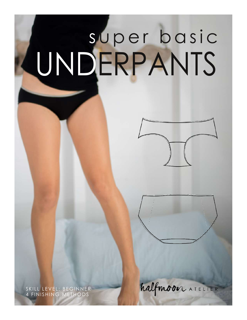# s uper basic UNDERPANTS



SKILL LEVEL: BEGINNER 4 FINISHING METHODS

halfmoon ATELIER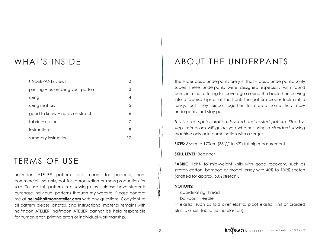#### WHAT'S INSIDE

| UNDERPANTS views                   | 3  |
|------------------------------------|----|
| printing + assembling your pattern | 3  |
| sizing                             | 4  |
| sizing matters                     | .5 |
| good to know + notes on stretch    | 6  |
| fabric + notions                   | 7  |
| instructions                       | 8  |
| summary instructions               | 17 |

#### TERMS OF USE

halfmoon ATELIER patterns are meant for personal, noncommercial use only, not for reproduction or mass-production for sale. To use this pattern in a sewing class, please have students purchase individual patterns through my website. Please contact me at **[hello@halfmoonatelier.com](mailto:hello@halfmoonatelier.com)** with any questions. Copyright to all pattern pieces, photos, and instructional material remains with halfmoon ATELIER. halfmoon ATELIER cannot be held responsible for human error, printing errors or individual workmanship.

#### ABOUT THE UNDERPANTS

The super basic underpants are just that – basic underpants…only super! These underpants were designed especially with round bums in mind, offering full coverage around the back then curving into a lowrise hipster at the front. The pattern pieces look a little funky, but they piece together to create some truly cozy underpants that stay put.

*This is a computer drafted, layered and nested pattern. Stepbystep instructions will guide you whether using a standard sewing machine* only or in combination with a serger.

**SIZES:** 86cm to 170cm (33<sup>3</sup>/<sub>4</sub>" to 67") full hip measurement

#### **SKILL LEVEL:** Beginner

**FABRIC:** light- to mid-weight knits with good recovery, such as stretch cotton, bamboo or modal jersey with 40% to 100% stretch (drafted for approx. 60% stretch).

#### **NOTIONS:**

 $\times$  coordinating thread

 $\times$  ball-point needle

 $\times$  elastic (such as fold over elastic, picot elastic, knit or braided elastic or self-fabric (ie. no elastic!))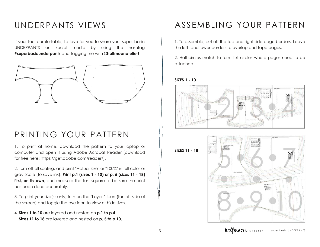#### UNDERPANTS VIEWS

If your feel comfortable, I'd love for you to share your super basic UNDERPANTS on social media by using the hashtag **#superbasicunderpants** and tagging me with **@halfmoonatelier!**



#### PRINTING YOUR PATTERN

1. To print at home, download the pattern to your laptop or computer and open it using Adobe Acrobat Reader (download for free here: https://get.adobe.com/reader/).

2. Turn off all scaling, and print ["Actual](https://get.adobe.com/reader/) Size" or "100%" in full color or grayscale (to save ink). **Print p.1 (sizes 1 10) or p. 5 (sizes 11 18) first, on its own**, and measure the test square to be sure the print has been done accurately.

3. To print your size(s) only, turn on the "Layers" icon (far left side of the screen) and toggle the eye icon to view or hide sizes.

<span id="page-2-0"></span>4. **Sizes 1 to 10** are layered and nested on **p.1 to p.4**. **Sizes 11 to 18** are layered and nested on **p. 5 to p.10**.

# ASSEMBLING YOUR PATTERN

1. To assemble, cut off the top and right-side page borders. Leave the left- and lower borders to overlap and tape pages.

2. Half-circles match to form full circles where pages need to be attached.

#### **SIZES 1 10**



**SIZES 11 18**

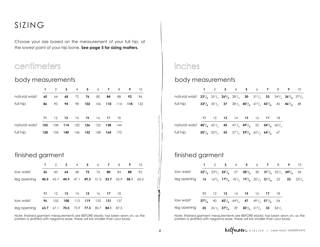#### SIZING

Choose your size based on the measurement of your full hip, at the lowest point of your hip bone. **See page 5 for sizing matters.**

#### centimeters

#### body measurements

|     | 2   | 3   | 4   | 5   | 6   | 7   | 8   | 9   | 10  |
|-----|-----|-----|-----|-----|-----|-----|-----|-----|-----|
| 60  | 64  | 68  | 72  | 76  | 80  | 84  | 88  | 92  | 96  |
| 86  | 90  | 94  | 98  | 102 | 106 | 110 | 114 | 118 | 122 |
|     |     |     |     |     |     |     |     |     |     |
| 11  | 12  | 13  | 14  | 15  | 16  | 17  | 18  |     |     |
| 102 | 108 | 114 | 120 | 126 | 132 | 138 | 144 |     |     |
| 128 | 134 | 140 | 146 | 152 | 158 | 164 | 170 |     |     |
|     |     |     |     |     |     |     |     |     |     |

#### finished garment

|             |    | $\mathcal{P}$     | $\overline{\mathbf{3}}$ | $\overline{4}$ | 5 <sub>5</sub>                                                      | $6\overline{6}$ | 7    | 8    | 9    | 10   |
|-------------|----|-------------------|-------------------------|----------------|---------------------------------------------------------------------|-----------------|------|------|------|------|
| low waist   | 56 | 60                | 64                      | 68             | 72                                                                  | 76              | 80   | 84   | 88   | 92   |
| leg opening |    |                   |                         |                | <b>40.5</b> 42.7 <b>44.9</b> 47.1 <b>49.3</b> 51.5 <b>53.7</b> 55.9 |                 |      |      | 58.1 | 60.3 |
|             |    |                   |                         |                |                                                                     |                 |      |      |      |      |
|             | 11 | $12 \overline{ }$ | 13                      | 14             | - 15                                                                | 16              | - 17 | -18  |      |      |
| low waist   | 96 | 102               | 108                     | 113            | 119                                                                 | 125             | 131  | 137  |      |      |
| leg opening |    |                   |                         |                | <b>63.7</b> 67.1 <b>70.5</b> 73.9 <b>77.3</b> 80.7                  |                 | 84.1 | 87.5 |      |      |

<span id="page-3-0"></span>Note: finished garment measurements are BEFORE elastic has been sewn on. as the pattern is drafted with negative ease, these will be smaller than your body.

#### inches

#### body measurements

|                                                                                                                                     |  |  |  |  | 1 2 3 4 5 6 7 8 9 10                                                          |  |
|-------------------------------------------------------------------------------------------------------------------------------------|--|--|--|--|-------------------------------------------------------------------------------|--|
| natural waist $23^{1}/_{2}$ $25^{1}/_{4}$ $26^{3}/_{4}$ $28^{1}/_{4}$ 30 $31^{1}/_{2}$ 33 $34^{3}/_{4}$ $36^{1}/_{4}$ $37^{3}/_{4}$ |  |  |  |  |                                                                               |  |
| full hip                                                                                                                            |  |  |  |  | $33^3/4$ $35^1/2$ $37$ $38^1/2$ $40^1/4$ $41^3/4$ $43^1/4$ $45$ $46^1/2$ $48$ |  |

|                                                                                                                                                                                                  | 11 12 13 14 15 16 17 18                                                                                                                                                        |  |  |  |
|--------------------------------------------------------------------------------------------------------------------------------------------------------------------------------------------------|--------------------------------------------------------------------------------------------------------------------------------------------------------------------------------|--|--|--|
| natural waist $40^{1}/_{4}$ 42 <sup>1</sup> / <sub>2</sub> 45 47 <sup>1</sup> / <sub>4</sub> 49 <sup>1</sup> / <sub>2</sub> 52 <b>54<sup>1</sup>/<sub>4</sub></b> 56 <sup>3</sup> / <sub>4</sub> |                                                                                                                                                                                |  |  |  |
| full hip                                                                                                                                                                                         | $50^{1}/_{2}$ 52 <sup>3</sup> / <sub>4</sub> 55 57 <sup>1</sup> / <sub>2</sub> 59 <sup>3</sup> / <sub>4</sub> 62 <sup>1</sup> / <sub>4</sub> 64 <sup>1</sup> / <sub>2</sub> 67 |  |  |  |

#### finished garment

|                                                                                                                                                                                                                          |  | 1 2 3 4 5 6 7 8 9 10                                                                                             |  |  |  |  |
|--------------------------------------------------------------------------------------------------------------------------------------------------------------------------------------------------------------------------|--|------------------------------------------------------------------------------------------------------------------|--|--|--|--|
| low waist                                                                                                                                                                                                                |  | $22^{1}/_{4}$ $23^{3}/_{4}$ $25^{1}/_{4}$ $27$ $28^{1}/_{2}$ $30$ $31^{1}/_{2}$ $33^{1}/_{4}$ $34^{3}/_{4}$ $36$ |  |  |  |  |
| leg opening 16 $16^3/_4$ 17 <sup>3</sup> / <sub>4</sub> 18 <sup>1</sup> / <sub>2</sub> 19 <sup>1</sup> / <sub>2</sub> 20 <sup>1</sup> / <sub>4</sub> 21 <sup>1</sup> / <sub>4</sub> 22 23 23 <sup>3</sup> / <sub>4</sub> |  |                                                                                                                  |  |  |  |  |
|                                                                                                                                                                                                                          |  |                                                                                                                  |  |  |  |  |
|                                                                                                                                                                                                                          |  | 11 12 13 14 15 16 17 18                                                                                          |  |  |  |  |
| low waist                                                                                                                                                                                                                |  | $37^3/4$ 40 $42^1/4$ $44^3/4$ 47 $49^1/4$ $51^1/2$ 54                                                            |  |  |  |  |
| leg opening 25 $26!/_{2}$ 27 <sup>3</sup> / <sub>4</sub> 29 30 <sup>1</sup> / <sub>2</sub> 31 <sup>3</sup> / <sub>4</sub> 33 34 <sup>1</sup> / <sub>2</sub>                                                              |  |                                                                                                                  |  |  |  |  |
|                                                                                                                                                                                                                          |  |                                                                                                                  |  |  |  |  |

Note: finished garment measurements are BEFORE elastic has been sewn on. as the pattern is drafted with negative ease, these will be smaller than your body.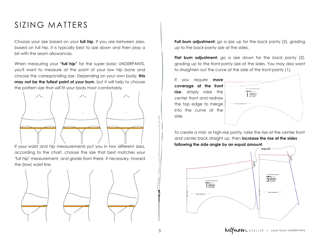#### SIZING MATTERS

Choose your size based on your **full hip**. If you are between sizes, based on full hip, it is typically best to size down and then play a bit with the seam allowances.

When measuring your **"full hip"** for the super basic UNDERPANTS, you'll want to measure at the point of your low hip bone and choose the corresponding size. Depending on your own body, **this may not be the fullest point of your bum**, but it will help to choose the pattern size that will fit your body most comfortably.



If your waist and hip measurements put you in two different sizes, according to the chart, choose the size that best matches your "full hip" measurement, and grade from there, if necessary, toward the (low) waist line.



**Full bum adjustment:** go a size up for the back panty (2), grading up to the back-panty size at the sides.

**Flat bum adjustment:** go a size down for the back panty (2), grading up to the front-panty size at the sides. You may also want to straighten out the curve at the side of the front-panty (1).

If you require **more coverage at the front rise**, simply raise the center front and redraw the top edge to merge into the curve at the side.



To create a mid- or high-rise panty, raise the rise at the center front and center back straight up, then **increase the rise at the sides following the side angle by an equal amount**.

<span id="page-4-0"></span>

5 **halfmoo**r ATELIER | super basic UNDERPANTS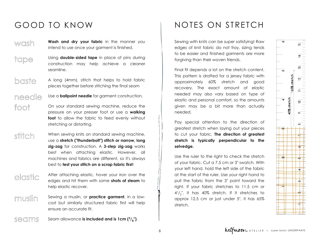# $\overline{u}$ d.

# GOOD TO KNOW

- **Wash and dry your fabric** in the manner you i i ntend to use once your garment is finished. i i i wash
- Using **double-sided tape** in place of pins during i i i i construction may help achieve a cleaner i i s e a mli n e . t a p e
- A long (4mm), stitch that helps to hold fabric i i pieces together before stitching the final seam i i i i baste
- needle
- Use a **ballpoint needle** for garment construction. i
- On your standard sewing machine, reduce the i i pressure on your presser foot or use a walking **foot** to allow the fabric to feed evenly without i i stretching or distorting. i i i foot
- When sewing knits on standard sewing machine, i i i i use a stretch ("thunderbolt") stitch or narrow, long **zig-zag** for construction. A 3-step zig-zag works i best when attaching elastic. However, all i i machines and fabrics are different, so it's always best to **test your stitch on a scrap fabric first**! stitch i
- After attaching elastic, hover your iron over the edges and hit them with some **shots of steam** to help elastic recover. elastic i
- Sewing a muslin, or **practice garment**, in a low cost but similarly structured fabric first will help ensure an accurate fit. m u sli n
- <span id="page-5-0"></span>Seam allowance **is included and is 1cm (3/8")**. s e a m s

# NOTES ON STRETCH

Sewing with knits can be super satisfying! Raw i i i i i edges of knit fabric do not fray, sizing tends i i i i to be easier and finished garments are more i i i forgiving than their woven friends. i i i i

Final fit depends a lot on the stretch content. i i This pattern is drafted for a jersey fabric with i i i i approximately 60% stretch and good i recovery. The exact amount of elastic i needed may also vary based on type of elastic and personal comfort, so the amounts i given may be a bit more than actually i i n e e d e d .

Pay special attention to the direction of i i i i greatest stretch when laying out your pieces i i to cut your fabric. The direction of greatest i stretch is typically perpendicular to the selvedge.

Use the ruler to the right to check the stretch i of your fabric. Cut a 7.5 cm or 3" swatch. With i i your left hand, hold the left side of the fabric i i at the start of the ruler. Use your right hand to i pull the fabric from the 3" point toward the i i right. If your fabric stretches to 11.5 cm or i i  $4^{1}/2$ ", it has  $40\%$  stretch. If it stretches to i i approx 12.5 cm or just under 5", it has 65% i stretch.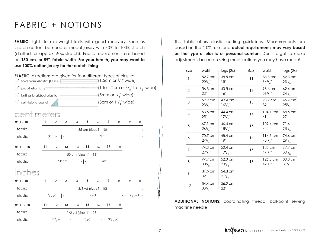#### FABRIC + NOTIONS

**FABRIC:** light- to mid-weight knits with good recovery, such as stretch cotton, bamboo or modal jersey with 40% to 100% stretch (drafted for approx. 60% stretch). Fabric requirements are based on **150 cm, or 59", fabric width**. **For your health, you may want to use 100% cotton jersey for the crotch lining**.

<span id="page-6-0"></span>

This table offers elastic cutting guidelines. Measurements are based on the "10% rule" and **actual requirements may vary based on the type of elastic or personal comfort**. Don't forget to make adjustments based on sizing modifications you may have made!

| size           | waist                         | legs(2x)                      | size | waist                          | legs(2x)                   |
|----------------|-------------------------------|-------------------------------|------|--------------------------------|----------------------------|
| $\mathbf{1}$   | 52.7 cm<br>$20^{3}/^{''}$     | 38.5 cm<br>15"                | 11   | 88.3 cm<br>$34^{3}/^{''}$      | 59.3 cm<br>$23^{1}/^{''}$  |
| $\overline{2}$ | 56.3 cm<br>22"                | 40.5 cm<br>16"                | 12   | 93.6 cm<br>$36^{3}/_{4}$ "     | 62.4 cm<br>$24^{1}/^{''}$  |
| 3              | 59.9 cm<br>$23^{1}/^{''}$     | 42.4 cm<br>$16^{3}/^{''}$     | 13   | 98.9 cm<br>39"                 | 65.4 cm<br>$25^{3}/^{''}$  |
| $\overline{4}$ | $63.5 \text{ cm}$<br>25"      | 44.4 cm<br>$17^{1}/^{''}$     | 14   | $104.1 \text{ cm}$<br>4]"      | 68.5 cm<br>27"             |
| 5              | $67.1 \text{ cm}$<br>$26'/$ " | 46.4 cm<br>$18'/$ "           | 15   | 109.4 cm<br>43"                | 71.6<br>$28'/$ "           |
| 6              | 70.7 cm<br>$27^{3}/^{''}$     | 48.4 cm<br>19"                | 16   | $114.7 \text{ cm}$<br>$45'/$ " | 74.6 cm<br>$29^{1}/^{''}$  |
| 7              | 74.3 cm<br>$29^{1}/^{''}$     | 50.4 cm<br>$19^{3}/^{''}$     | 17   | 120 cm<br>$47^{1}/^{''}$       | 77.7 cm<br>30'/2           |
| 8              | 77.9 cm<br>$30^{1}/_{2}$ "    | 52.3 cm<br>$20^{1}/^{''}_{2}$ | 18   | 125.3 cm<br>$49^{1}/^{''}$     | 80.8 cm<br>$31\frac{3}{4}$ |
| 9              | 81.5 cm<br>32"                | 54.3 cm<br>$21^{1}/^{''}$     |      |                                |                            |
| 10             | 84.4 cm<br>$33^{1}/$ ."       | 56.2 cm<br>22"                |      |                                |                            |

**ADDITIONAL NOTIONS:** coordinating thread, ball-point sewing machine needle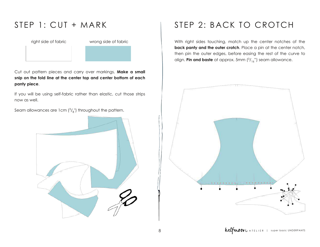#### STEP 1: CUT + MARK

right side of fabric wrong side of fabric

Cut out pattern pieces and carry over markings. **Make a small snip on the fold line at the center top and center bottom of each panty piece**.

If you will be using self-fabric rather than elastic, cut those strips now as well.

Seam allowances are 1 cm  $\binom{3}{8}$  throughout the pattern.

<span id="page-7-0"></span>

# STEP 2: BACK TO CROTCH

With right sides touching, match up the center notches of the **back panty and the outer crotch**. Place a pin at the center notch, then pin the outer edges, before easing the rest of the curve to align. **Pin and baste** at approx. 5mm ( 3 /16 ") seam allowance.

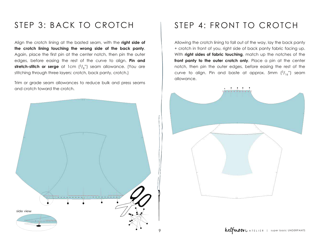#### STEP 3: BACK TO CROTCH

Align the crotch lining at the basted seam, with the **right side of the crotch lining touching the wrong side of the back panty**. Again, place the first pin at the center notch, then pin the outer edges, before easing the rest of the curve to align. **Pin and stretch-stitch or serge** at 1cm (3/<sub>8</sub>") seam allowance. (You are stitching through three layers: crotch, back panty, crotch.)

Trim or grade seam allowances to reduce bulk and press seams and crotch toward the crotch.



### STEP 4: FRONT TO CROTCH

Allowing the crotch lining to fall out of the way, lay the back panty + crotch in front of you, right side of back panty fabric facing up. With **right sides of fabric touching**, match up the notches of the **front panty to the outer crotch only**. Place a pin at the center notch, then pin the outer edges, before easing the rest of the curve to align. Pin and baste at approx. 5mm  $\binom{3}{16}$  seam allowance.

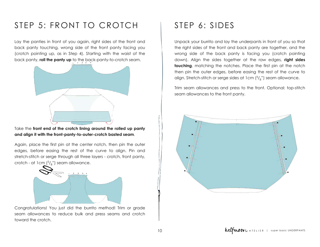#### STEP 5: FRONT TO CROTCH STEP 6: SIDES

Lay the panties in front of you again, right sides of the front and back panty touching, wrong side of the front panty facing you (crotch pointing up, as in Step 4). Starting with the waist of the back panty, **roll the panty up** to the back-panty-to-crotch seam.



Take the **front end of the crotch lining around the rolled up panty and align it with the front-panty-to-outer-crotch basted seam.** 

Again, place the first pin at the center notch, then pin the outer edges, before easing the rest of the curve to align. Pin and stretch-stitch or serge through all three layers - crotch, front panty, crotch - at 1 cm  $(^3/_{8}^{\prime\prime})$  seam allowance.



Congratulations! You just did the burrito method! Trim or grade seam allowances to reduce bulk and press seams and crotch toward the crotch.

Unpack your burrito and lay the underpants in front of you so that the right sides of the front and back panty are together, and the wrong side of the back panty is facing you (crotch pointing down). Align the sides together at the raw edges, **right sides touching**, matching the notches. Place the first pin at the notch then pin the outer edges, before easing the rest of the curve to align. Stretch-stitch or serge sides at 1 cm  $\binom{3}{8}$ ") seam allowance.

Trim seam allowances and press to the front. Optional: top-stitch seam allowances to the front panty.

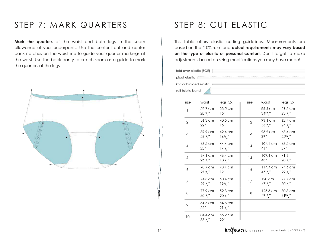#### STEP 7: MARK QUARTERS

**Mark the quarters** of the waist and both legs in the seam allowance of your underpants. Use the center front and center back notches on the waist line to guide your quarter markings at the waist. Use the back-panty-to-crotch seam as a guide to mark the quarters at the legs.



#### STEP 8: CUT ELASTIC

This table offers elastic cutting guidelines. Measurements are based on the "10% rule" and **actual requirements may vary based on the type of elastic or personal comfort**. Don't forget to make adjustments based on sizing modifications you may have made!

fold over elastic (FOE) picot elastic extension

knit or braided elastic self-fabric band

| size           | waist                         | legs(2x)                                  | size | waist                          | legs(2x)                  |
|----------------|-------------------------------|-------------------------------------------|------|--------------------------------|---------------------------|
| $\mathbf{1}$   | 52.7 cm<br>$20^{3}/^{''}_{4}$ | 38.5 cm<br>15"                            | 11   | 88.3 cm<br>$34^{3}/^{''}$      | 59.3 cm<br>$23'/$ "       |
| $\mathcal{P}$  | 56.3 cm<br>22"                | 40.5 cm<br>16"                            | 12   | 93.6 cm<br>$36^{3}/^{''}$      | 62.4 cm<br>$24^{1}/^{''}$ |
| 3              | 59.9 cm<br>23'/2              | 42.4 cm<br>$16^{3}/^{''}$                 | 13   | 98.9 cm<br>39"                 | 65.4 cm<br>$25^{3}/^{''}$ |
| $\overline{4}$ | 63.5 cm<br>25"                | 44.4 cm<br>$17' / \frac{1}{2}$            | 14   | $104.1 \text{ cm}$<br>4]"      | 68.5 cm<br>27"            |
| 5              | 67.1 cm<br>$26'/$ "           | 46.4 cm<br>18'/                           | 15   | 109.4 cm<br>43"                | 71.6<br>$28'/$ "          |
| 6              | 70.7 cm<br>$27^{3}/$ "        | 48.4 cm<br>19"                            | 16   | $114.7 \text{ cm}$<br>$45'/$ " | 74.6 cm<br>$29^{1}$ /     |
| $\overline{7}$ | 74.3 cm<br>$29^{1}/^{''}$     | 50.4 cm<br>19 <sup>3</sup> / <sub>4</sub> | 17   | 120 cm<br>$47^{1}/^{''}$       | 77.7 cm<br>$30^{1}/^{''}$ |
| 8              | 77.9 cm<br>30'/2              | 52.3 cm<br>$20^{1}/^{''}$                 | 18   | 125.3 cm<br>$49^{1}/^{''}$     | 80.8 cm<br>$31^{3}/^{''}$ |
| 9              | 81.5 cm<br>32"                | 54.3 cm<br>$21^{1}/^{''}$                 |      |                                |                           |
| 10             | 84.4 cm<br>$33^{1}/^{''}$     | 56.2 cm<br>22"                            |      |                                |                           |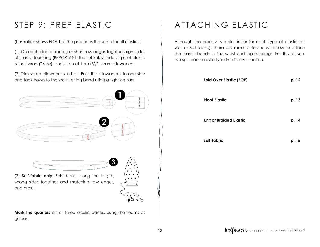# STEP 9: PREP ELASTIC

(Illustration shows FOE, but the process is the same for all elastics.)

(1) On each elastic band, join short raw edges together, right sides of elastic touching (IMPORTANT: the soft/plush side of picot elastic is the "wrong" side), and stitch at 1 cm  $\binom{3}{8}$ ") seam allowance.

(2) Trim seam allowances in half. Fold the allowances to one side and tack down to the waist- or leg band using a tight zig-zag.





(3) **Selffabric only**: Fold band along the length, wrong sides together and matching raw edges, and press.

<span id="page-11-0"></span>**Mark the quarters** on all three elastic bands, using the seams as guides.

# ATTACHING ELASTIC

Although the process is quite similar for each type of elastic (as well as self-fabric), there are minor differences in how to attach the elastic bands to the waist and leg-openings. For this reason, I've split each elastic type into its own section.

| <b>Fold Over Elastic (FOE)</b> | p. 12 |
|--------------------------------|-------|
| <b>Picot Elastic</b>           | p. 13 |
| <b>Knit or Braided Elastic</b> | p. 14 |
| Self-fabric                    | p. 15 |

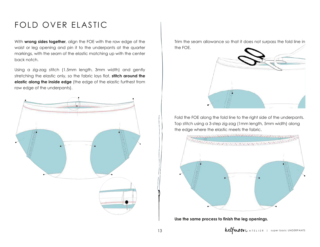# FOLD OVER ELASTIC

With **wrong sides together**, align the FOE with the raw edge of the waist or leg opening and pin it to the underpants at the quarter markings, with the seam of the elastic matching up with the center back notch.

Using a zig-zag stitch (1.5mm length, 3mm width) and gently stretching the elastic only, so the fabric lays flat, **stitch around the elastic along the inside edge** (the edge of the elastic furthest from raw edge of the underpants).

<span id="page-12-0"></span>

Trim the seam allowance so that it does not surpass the fold line in the FOE.



Fold the FOE along the fold line to the right side of the underpants. Top stitch using a 3-step zig-zag (1mm length, 5mm width) along the edge where the elastic meets the fabric.

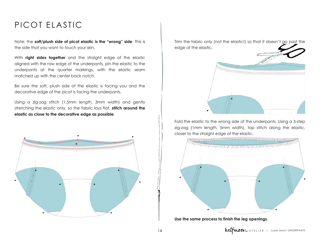#### PICOT ELASTIC

Note: the **soft/plush side of picot elastic is the "wrong" side**. This is the side that you want to touch your skin.

With **right sides together** and the straight edge of the elastic aligned with the raw edge of the underpants, pin the elastic to the underpants at the quarter markings, with the elastic seam matched up with the center back notch.

Be sure the soft, plush side of the elastic is facing you and the decorative edge of the picot is facing the underpants.

Using a zig-zag stitch (1.5mm length, 3mm width) and gently stretching the elastic only, so the fabric lays flat, **stitch around the elastic as close to the decorative edge as possible**.



Trim the fabric only (not the elastic!) so that it doesn't go past the edge of the elastic.



Fold the elastic to the wrong side of the underpants. Using a 3-step zig-zag (1mm length, 5mm width), top stitch along the elastic, closer to the straight edge of the elastic.

<span id="page-13-0"></span>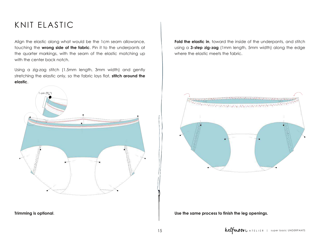#### KNIT ELASTIC

Align the elastic along what would be the 1cm seam allowance, touching the **wrong side of the fabric**. Pin it to the underpants at the quarter markings, with the seam of the elastic matching up with the center back notch.

Using a zig-zag stitch (1.5mm length, 3mm width) and gently stretching the elastic only, so the fabric lays flat, **stitch around the elastic**.



**Trimming is optional**.

**Fold the elastic in**, toward the inside of the underpants, and stitch using a **3-step zig-zag** (1mm length, 5mm width) along the edge where the elastic meets the fabric.

<span id="page-14-0"></span>![](_page_14_Picture_6.jpeg)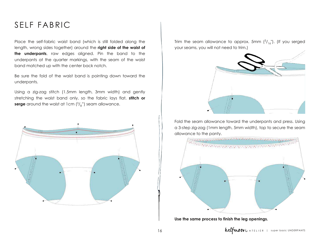#### SELF FABRIC

Place the self-fabric waist band (which is still folded along the length, wrong sides together) around the **right side of the waist of the underpants**, raw edges aligned. Pin the band to the underpants at the quarter markings, with the seam of the waist band matched up with the center back notch.

Be sure the fold of the waist band is pointing down toward the underpants.

Using a zig-zag stitch (1.5mm length, 3mm width) and gently stretching the waist band only, so the fabric lays flat, **stitch or serge** around the waist at 1cm ( 3 /8 ") seam allowance.

![](_page_15_Figure_4.jpeg)

Trim the seam allowance to approx. 5mm  $\binom{3}{16}$ . (If you serged your seams, you will not need to trim.)

![](_page_15_Picture_6.jpeg)

Fold the seam allowance toward the underpants and press. Using a 3-step zig-zag (1mm length, 5mm width), top to secure the seam allowance to the panty.

![](_page_15_Figure_8.jpeg)

![](_page_15_Picture_10.jpeg)